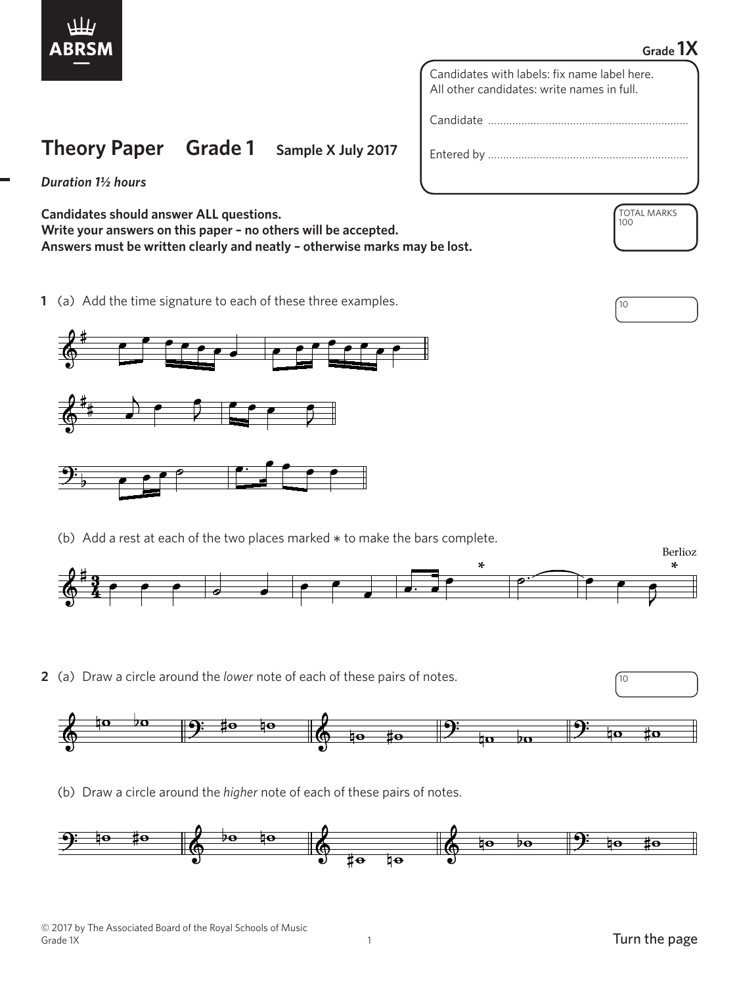

## **Grade 1X**

Candidates with labels: fix name label here. All other candidates: write names in full.

Candidate …………………………………………………………

Entered by …………………………………………………………

*Duration 1½ hours*

**Candidates should answer ALL questions. Write your answers on this paper – no others will be accepted. Answers must be written clearly and neatly – otherwise marks may be lost.**

**1** (a) Add the time signature to each of these three examples.  $\sqrt{10}$ 

**Theory Paper Grade 1 Sample X July 2017**



(b) Add a rest at each of the two places marked  $*$  to make the bars complete.



**2** (a) Draw a circle around the *lower* note of each of these pairs of notes.



(b) Draw a circle around the *higher* note of each of these pairs of notes.



TOTAL MARKS

100

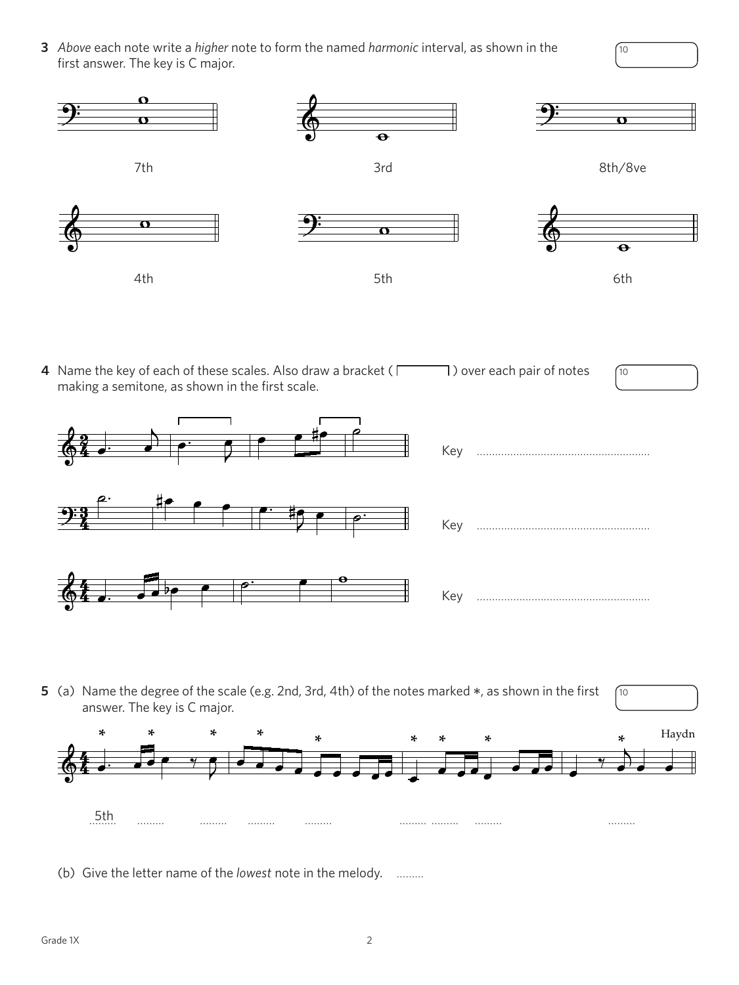**3** *Above* each note write a *higher* note to form the named *harmonic* interval, as shown in the first answer. The key is C major.



**4** Name the key of each of these scales. Also draw a bracket ( $\Box$ ) over each pair of notes making a semitone, as shown in the first scale.



10

10

10



**5** (a) Name the degree of the scale (e.g. 2nd, 3rd, 4th) of the notes marked \*, as shown in the first answer. The key is C major.



(b) Give the letter name of the *lowest* note in the melody. ………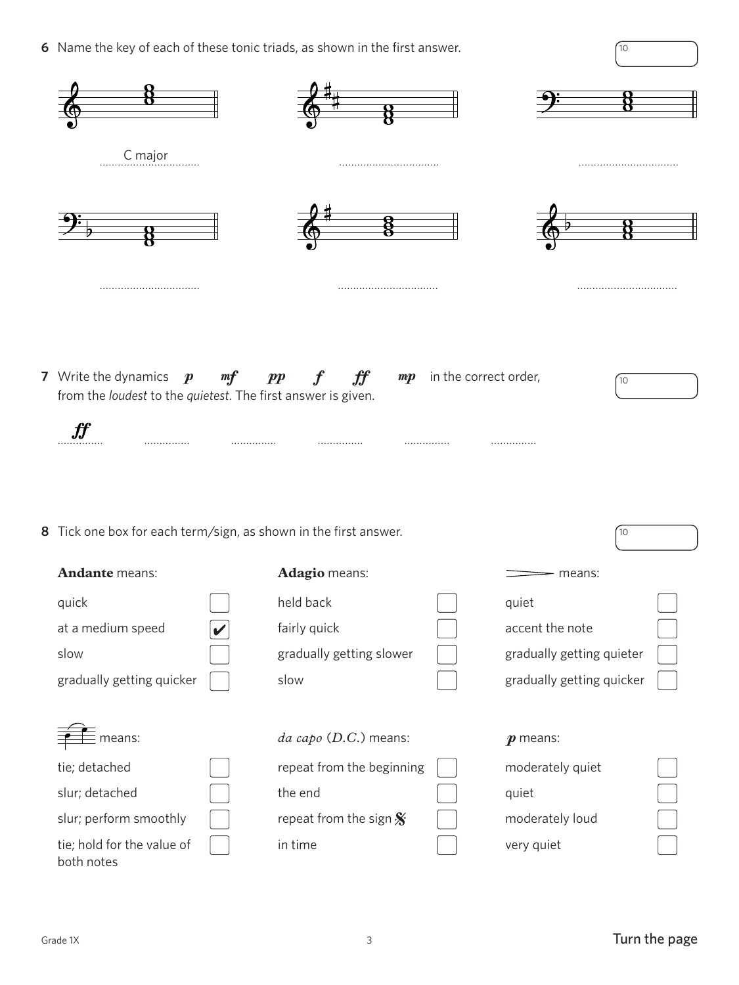**6** Name the key of each of these tonic triads, as shown in the first answer.

|                                                                                                                 |     | $\bullet$ -Name the key of each of these tonic triads, as shown in the first answer. |                            |                           | 10 |  |
|-----------------------------------------------------------------------------------------------------------------|-----|--------------------------------------------------------------------------------------|----------------------------|---------------------------|----|--|
|                                                                                                                 |     |                                                                                      |                            |                           |    |  |
| C major                                                                                                         |     |                                                                                      |                            |                           |    |  |
|                                                                                                                 |     |                                                                                      |                            |                           |    |  |
|                                                                                                                 |     |                                                                                      |                            |                           |    |  |
| 7 Write the dynamics $p$<br>from the loudest to the quietest. The first answer is given.<br>$\pmb{\mathit{ff}}$ | m f | $\boldsymbol{f}$<br>$\boldsymbol{f}$<br>$\boldsymbol{pp}$                            | $mp$ in the correct order, |                           | 10 |  |
| 8 Tick one box for each term/sign, as shown in the first answer.                                                |     |                                                                                      |                            |                           | 10 |  |
| Andante means:                                                                                                  |     | Adagio means:                                                                        |                            | means:                    |    |  |
| quick                                                                                                           |     | held back                                                                            |                            | quiet                     |    |  |
| at a medium speed                                                                                               |     | fairly quick                                                                         |                            | accent the note           |    |  |
| slow                                                                                                            |     | gradually getting slower                                                             |                            | gradually getting quieter |    |  |
| gradually getting quicker                                                                                       |     | slow                                                                                 |                            | gradually getting quicker |    |  |
| means:                                                                                                          |     | da capo (D.C.) means:                                                                |                            | $\boldsymbol{p}$ means:   |    |  |
| tie; detached                                                                                                   |     | repeat from the beginning                                                            |                            | moderately quiet          |    |  |
| slur; detached                                                                                                  |     | the end                                                                              |                            | quiet                     |    |  |
| slur; perform smoothly                                                                                          |     | repeat from the sign $\mathbf{\hat{x}}$                                              |                            | moderately loud           |    |  |
| tie; hold for the value of<br>both notes                                                                        |     | in time                                                                              |                            | very quiet                |    |  |